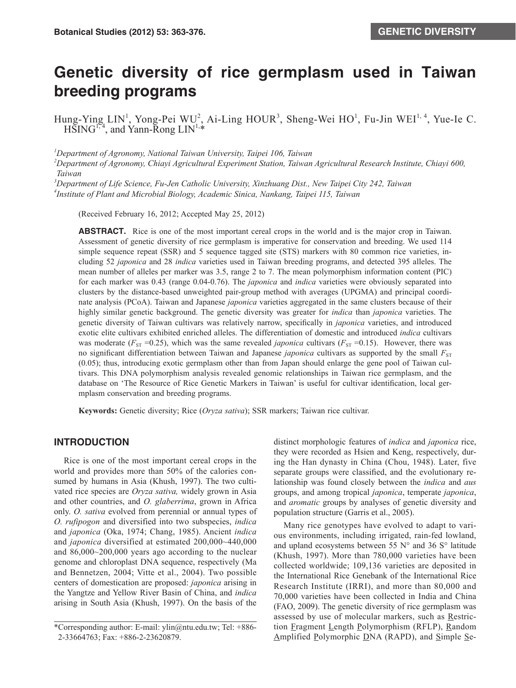# **Genetic diversity of rice germplasm used in Taiwan breeding programs**

Hung-Ying LIN<sup>1</sup>, Yong-Pei WU<sup>2</sup>, Ai-Ling HOUR<sup>3</sup>, Sheng-Wei HO<sup>1</sup>, Fu-Jin WEI<sup>1, 4</sup>, Yue-Ie C.  $H\overline{S}ING^{1,4}$ , and Yann-Rong  $LIN^{1,4}$ 

*1 Department of Agronomy, National Taiwan University, Taipei 106, Taiwan*

*2 Department of Agronomy, Chiayi Agricultural Experiment Station, Taiwan Agricultural Research Institute, Chiayi 600, Taiwan*

*3 Department of Life Science, Fu-Jen Catholic University, Xinzhuang Dist., New Taipei City 242, Taiwan 4 Institute of Plant and Microbial Biology, Academic Sinica, Nankang, Taipei 115, Taiwan*

(Received February 16, 2012; Accepted May 25, 2012)

**ABSTRACT.** Rice is one of the most important cereal crops in the world and is the major crop in Taiwan. Assessment of genetic diversity of rice germplasm is imperative for conservation and breeding. We used 114 simple sequence repeat (SSR) and 5 sequence tagged site (STS) markers with 80 common rice varieties, including 52 *japonica* and 28 *indica* varieties used in Taiwan breeding programs, and detected 395 alleles. The mean number of alleles per marker was 3.5, range 2 to 7. The mean polymorphism information content (PIC) for each marker was 0.43 (range 0.04-0.76). The *japonica* and *indica* varieties were obviously separated into clusters by the distance-based unweighted pair-group method with averages (UPGMA) and principal coordinate analysis (PCoA). Taiwan and Japanese *japonica* varieties aggregated in the same clusters because of their highly similar genetic background. The genetic diversity was greater for *indica* than *japonica* varieties. The genetic diversity of Taiwan cultivars was relatively narrow, specifically in *japonica* varieties, and introduced exotic elite cultivars exhibited enriched alleles. The differentiation of domestic and introduced *indica* cultivars was moderate ( $F_{ST}$  =0.25), which was the same revealed *japonica* cultivars ( $F_{ST}$  =0.15). However, there was no significant differentiation between Taiwan and Japanese *japonica* cultivars as supported by the small  $F_{ST}$ (0.05); thus, introducing exotic germplasm other than from Japan should enlarge the gene pool of Taiwan cultivars. This DNA polymorphism analysis revealed genomic relationships in Taiwan rice germplasm, and the database on 'The Resource of Rice Genetic Markers in Taiwan' is useful for cultivar identification, local germplasm conservation and breeding programs.

**Keywords:** Genetic diversity; Rice (*Oryza sativa*); SSR markers; Taiwan rice cultivar.

## **INTRODUCTION**

Rice is one of the most important cereal crops in the world and provides more than 50% of the calories consumed by humans in Asia (Khush, 1997). The two cultivated rice species are *Oryza sativa,* widely grown in Asia and other countries, and *O. glaberrima*, grown in Africa only. *O. sativa* evolved from perennial or annual types of *O. rufipogon* and diversified into two subspecies, *indica* and *japonica* (Oka, 1974; Chang, 1985). Ancient *indica* and *japonica* diversified at estimated 200,000~440,000 and 86,000~200,000 years ago according to the nuclear genome and chloroplast DNA sequence, respectively (Ma and Bennetzen, 2004; Vitte et al., 2004). Two possible centers of domestication are proposed: *japonica* arising in the Yangtze and Yellow River Basin of China, and *indica* arising in South Asia (Khush, 1997). On the basis of the distinct morphologic features of *indica* and *japonica* rice, they were recorded as Hsien and Keng, respectively, during the Han dynasty in China (Chou, 1948). Later, five separate groups were classified, and the evolutionary relationship was found closely between the *indica* and *aus* groups, and among tropical *japonica*, temperate *japonica*, and *aromatic* groups by analyses of genetic diversity and population structure (Garris et al., 2005).

Many rice genotypes have evolved to adapt to various environments, including irrigated, rain-fed lowland, and upland ecosystems between 55  $N^{\circ}$  and 36  $S^{\circ}$  latitude (Khush, 1997). More than 780,000 varieties have been collected worldwide; 109,136 varieties are deposited in the International Rice Genebank of the International Rice Research Institute (IRRI), and more than 80,000 and 70,000 varieties have been collected in India and China (FAO, 2009). The genetic diversity of rice germplasm was assessed by use of molecular markers, such as Restriction Fragment Length Polymorphism (RFLP), Random Amplified Polymorphic DNA (RAPD), and Simple Se-

<sup>\*</sup>Corresponding author: E-mail: ylin@ntu.edu.tw; Tel: +886- 2-33664763; Fax: +886-2-23620879.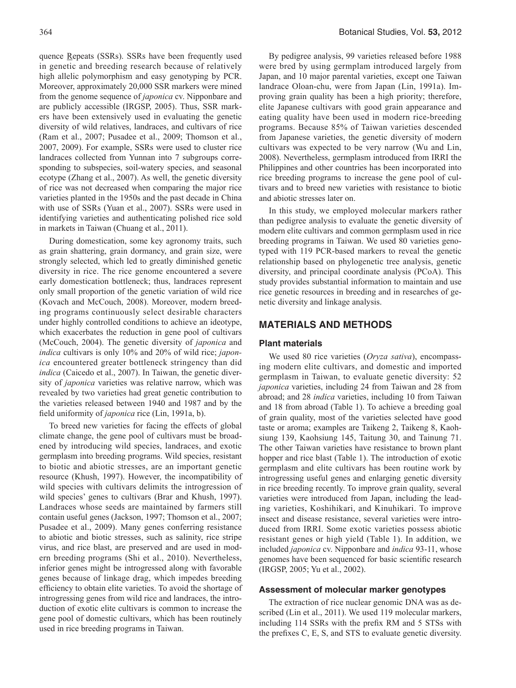quence Repeats (SSRs). SSRs have been frequently used in genetic and breeding research because of relatively high allelic polymorphism and easy genotyping by PCR. Moreover, approximately 20,000 SSR markers were mined from the genome sequence of *japonica* cv. Nipponbare and are publicly accessible (IRGSP, 2005). Thus, SSR markers have been extensively used in evaluating the genetic diversity of wild relatives, landraces, and cultivars of rice (Ram et al., 2007; Pusadee et al., 2009; Thomson et al., 2007, 2009). For example, SSRs were used to cluster rice landraces collected from Yunnan into 7 subgroups corresponding to subspecies, soil-watery species, and seasonal ecotype (Zhang et al., 2007). As well, the genetic diversity of rice was not decreased when comparing the major rice varieties planted in the 1950s and the past decade in China with use of SSRs (Yuan et al., 2007). SSRs were used in identifying varieties and authenticating polished rice sold in markets in Taiwan (Chuang et al., 2011).

During domestication, some key agronomy traits, such as grain shattering, grain dormancy, and grain size, were strongly selected, which led to greatly diminished genetic diversity in rice. The rice genome encountered a severe early domestication bottleneck; thus, landraces represent only small proportion of the genetic variation of wild rice (Kovach and McCouch, 2008). Moreover, modern breeding programs continuously select desirable characters under highly controlled conditions to achieve an ideotype, which exacerbates the reduction in gene pool of cultivars (McCouch, 2004). The genetic diversity of *japonica* and *indica* cultivars is only 10% and 20% of wild rice; *japonica* encountered greater bottleneck stringency than did *indica* (Caicedo et al., 2007). In Taiwan, the genetic diversity of *japonica* varieties was relative narrow, which was revealed by two varieties had great genetic contribution to the varieties released between 1940 and 1987 and by the field uniformity of *japonica* rice (Lin, 1991a, b).

To breed new varieties for facing the effects of global climate change, the gene pool of cultivars must be broadened by introducing wild species, landraces, and exotic germplasm into breeding programs. Wild species, resistant to biotic and abiotic stresses, are an important genetic resource (Khush, 1997). However, the incompatibility of wild species with cultivars delimits the introgression of wild species' genes to cultivars (Brar and Khush, 1997). Landraces whose seeds are maintained by farmers still contain useful genes (Jackson, 1997; Thomson et al., 2007; Pusadee et al., 2009). Many genes conferring resistance to abiotic and biotic stresses, such as salinity, rice stripe virus, and rice blast, are preserved and are used in modern breeding programs (Shi et al., 2010). Nevertheless, inferior genes might be introgressed along with favorable genes because of linkage drag, which impedes breeding efficiency to obtain elite varieties. To avoid the shortage of introgressing genes from wild rice and landraces, the introduction of exotic elite cultivars is common to increase the gene pool of domestic cultivars, which has been routinely used in rice breeding programs in Taiwan.

By pedigree analysis, 99 varieties released before 1988 were bred by using germplam introduced largely from Japan, and 10 major parental varieties, except one Taiwan landrace Oloan-chu, were from Japan (Lin, 1991a). Improving grain quality has been a high priority; therefore, elite Japanese cultivars with good grain appearance and eating quality have been used in modern rice-breeding programs. Because 85% of Taiwan varieties descended from Japanese varieties, the genetic diversity of modern cultivars was expected to be very narrow (Wu and Lin, 2008). Nevertheless, germplasm introduced from IRRI the Philippines and other countries has been incorporated into rice breeding programs to increase the gene pool of cultivars and to breed new varieties with resistance to biotic and abiotic stresses later on.

In this study, we employed molecular markers rather than pedigree analysis to evaluate the genetic diversity of modern elite cultivars and common germplasm used in rice breeding programs in Taiwan. We used 80 varieties genotyped with 119 PCR-based markers to reveal the genetic relationship based on phylogenetic tree analysis, genetic diversity, and principal coordinate analysis (PCoA). This study provides substantial information to maintain and use rice genetic resources in breeding and in researches of genetic diversity and linkage analysis.

## **MATERIALS AND METHODS**

#### **Plant materials**

We used 80 rice varieties (*Oryza sativa*), encompassing modern elite cultivars, and domestic and imported germplasm in Taiwan, to evaluate genetic diversity: 52 *japonica* varieties, including 24 from Taiwan and 28 from abroad; and 28 *indica* varieties, including 10 from Taiwan and 18 from abroad (Table 1). To achieve a breeding goal of grain quality, most of the varieties selected have good taste or aroma; examples are Taikeng 2, Taikeng 8, Kaohsiung 139, Kaohsiung 145, Taitung 30, and Tainung 71. The other Taiwan varieties have resistance to brown plant hopper and rice blast (Table 1). The introduction of exotic germplasm and elite cultivars has been routine work by introgressing useful genes and enlarging genetic diversity in rice breeding recently. To improve grain quality, several varieties were introduced from Japan, including the leading varieties, Koshihikari, and Kinuhikari. To improve insect and disease resistance, several varieties were introduced from IRRI. Some exotic varieties possess abiotic resistant genes or high yield (Table 1). In addition, we included *japonica* cv. Nipponbare and *indica* 93-11, whose genomes have been sequenced for basic scientific research (IRGSP, 2005; Yu et al., 2002).

## **Assessment of molecular marker genotypes**

The extraction of rice nuclear genomic DNA was as described (Lin et al., 2011). We used 119 molecular markers, including 114 SSRs with the prefix RM and 5 STSs with the prefixes C, E, S, and STS to evaluate genetic diversity.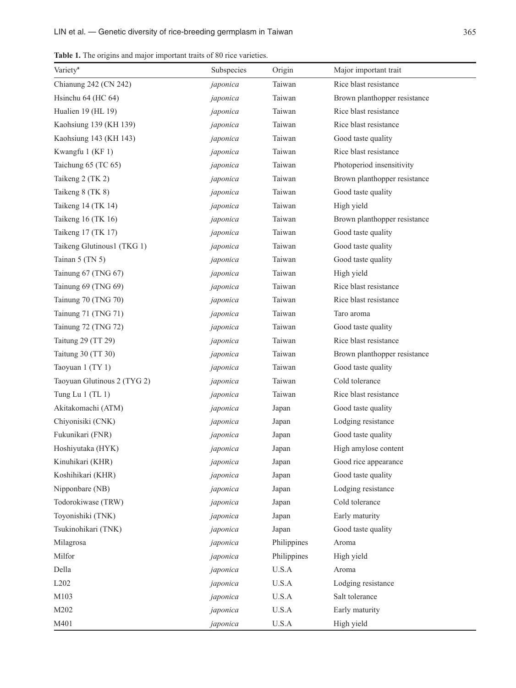**Table 1.** The origins and major important traits of 80 rice varieties.

| Variety <sup>a</sup>        | Subspecies | Origin         | Major important trait        |
|-----------------------------|------------|----------------|------------------------------|
| Chianung 242 (CN 242)       | japonica   | Taiwan         | Rice blast resistance        |
| Hsinchu 64 (HC 64)          | japonica   | Taiwan         | Brown planthopper resistance |
| Hualien 19 (HL 19)          | japonica   | Taiwan         | Rice blast resistance        |
| Kaohsiung 139 (KH 139)      | japonica   | Taiwan         | Rice blast resistance        |
| Kaohsiung 143 (KH 143)      | japonica   | Taiwan         | Good taste quality           |
| Kwangfu 1 (KF 1)            | japonica   | Taiwan         | Rice blast resistance        |
| Taichung 65 (TC 65)         | japonica   | Taiwan         | Photoperiod insensitivity    |
| Taikeng 2 (TK 2)            | japonica   | Taiwan         | Brown planthopper resistance |
| Taikeng 8 (TK 8)            | japonica   | Taiwan         | Good taste quality           |
| Taikeng 14 (TK 14)          | japonica   | Taiwan         | High yield                   |
| Taikeng 16 (TK 16)          | japonica   | Taiwan         | Brown planthopper resistance |
| Taikeng 17 (TK 17)          | japonica   | Taiwan         | Good taste quality           |
| Taikeng Glutinous1 (TKG 1)  | japonica   | Taiwan         | Good taste quality           |
| Tainan $5$ (TN $5$ )        | japonica   | Taiwan         | Good taste quality           |
| Tainung 67 (TNG 67)         | japonica   | Taiwan         | High yield                   |
| Tainung 69 (TNG 69)         | japonica   | Taiwan         | Rice blast resistance        |
| Tainung 70 (TNG 70)         | japonica   | Taiwan         | Rice blast resistance        |
| Tainung 71 (TNG 71)         | japonica   | Taiwan         | Taro aroma                   |
| Tainung 72 (TNG 72)         | japonica   | Taiwan         | Good taste quality           |
| Taitung 29 (TT 29)          | japonica   | Taiwan         | Rice blast resistance        |
| Taitung 30 (TT 30)          | japonica   | Taiwan         | Brown planthopper resistance |
| Taoyuan 1 (TY 1)            | japonica   | Taiwan         | Good taste quality           |
| Taoyuan Glutinous 2 (TYG 2) | japonica   | Taiwan         | Cold tolerance               |
| Tung Lu 1 (TL 1)            | japonica   | Taiwan         | Rice blast resistance        |
| Akitakomachi (ATM)          | japonica   | Japan          | Good taste quality           |
| Chiyonisiki (CNK)           | japonica   | Japan          | Lodging resistance           |
| Fukunikari (FNR)            | japonica   | Japan          | Good taste quality           |
| Hoshiyutaka (HYK)           | japonica   | Japan          | High amylose content         |
| Kinuhikari (KHR)            | japonica   | Japan          | Good rice appearance         |
| Koshihikari (KHR)           | japonica   | Japan          | Good taste quality           |
| Nipponbare (NB)             | japonica   | Japan          | Lodging resistance           |
| Todorokiwase (TRW)          | japonica   | Japan          | Cold tolerance               |
| Toyonishiki (TNK)           | japonica   | Japan          | Early maturity               |
| Tsukinohikari (TNK)         | japonica   | Japan          | Good taste quality           |
| Milagrosa                   | japonica   | Philippines    | Aroma                        |
| Milfor                      | japonica   | Philippines    | High yield                   |
| Della                       | japonica   | U.S.A          | Aroma                        |
| L202                        | japonica   | $_{\rm U.S.A}$ | Lodging resistance           |
| M103                        | japonica   | $U.S.A$        | Salt tolerance               |
| M202                        | japonica   | $U.S.A$        | Early maturity               |
| M401                        | japonica   | $_{\rm U.S.A}$ | High yield                   |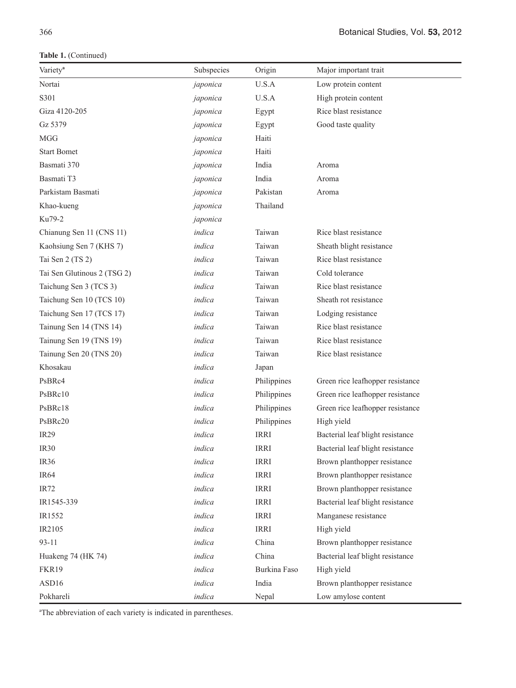**Table 1.** (Continued)

| Variety <sup>a</sup>        | Subspecies | Origin       | Major important trait            |
|-----------------------------|------------|--------------|----------------------------------|
| Nortai                      | japonica   | U.S.A        | Low protein content              |
| S301                        | japonica   | U.S.A        | High protein content             |
| Giza 4120-205               | japonica   | Egypt        | Rice blast resistance            |
| Gz 5379                     | japonica   | Egypt        | Good taste quality               |
| <b>MGG</b>                  | japonica   | Haiti        |                                  |
| <b>Start Bomet</b>          | japonica   | Haiti        |                                  |
| Basmati 370                 | japonica   | India        | Aroma                            |
| Basmati T3                  | japonica   | India        | Aroma                            |
| Parkistam Basmati           | japonica   | Pakistan     | Aroma                            |
| Khao-kueng                  | japonica   | Thailand     |                                  |
| Ku79-2                      | japonica   |              |                                  |
| Chianung Sen 11 (CNS 11)    | indica     | Taiwan       | Rice blast resistance            |
| Kaohsiung Sen 7 (KHS 7)     | indica     | Taiwan       | Sheath blight resistance         |
| Tai Sen 2 (TS 2)            | indica     | Taiwan       | Rice blast resistance            |
| Tai Sen Glutinous 2 (TSG 2) | indica     | Taiwan       | Cold tolerance                   |
| Taichung Sen 3 (TCS 3)      | indica     | Taiwan       | Rice blast resistance            |
| Taichung Sen 10 (TCS 10)    | indica     | Taiwan       | Sheath rot resistance            |
| Taichung Sen 17 (TCS 17)    | indica     | Taiwan       | Lodging resistance               |
| Tainung Sen 14 (TNS 14)     | indica     | Taiwan       | Rice blast resistance            |
| Tainung Sen 19 (TNS 19)     | indica     | Taiwan       | Rice blast resistance            |
| Tainung Sen 20 (TNS 20)     | indica     | Taiwan       | Rice blast resistance            |
| Khosakau                    | indica     | Japan        |                                  |
| PsBRc4                      | indica     | Philippines  | Green rice leafhopper resistance |
| PsBRc10                     | indica     | Philippines  | Green rice leafhopper resistance |
| PsBRc18                     | indica     | Philippines  | Green rice leafhopper resistance |
| PsBRc20                     | indica     | Philippines  | High yield                       |
| IR <sub>29</sub>            | indica     | <b>IRRI</b>  | Bacterial leaf blight resistance |
| IR <sub>30</sub>            | indica     | <b>IRRI</b>  | Bacterial leaf blight resistance |
| IR <sub>36</sub>            | indica     | <b>IRRI</b>  | Brown planthopper resistance     |
| IR <sub>64</sub>            | indica     | <b>IRRI</b>  | Brown planthopper resistance     |
| IR72                        | indica     | <b>IRRI</b>  | Brown planthopper resistance     |
| IR1545-339                  | indica     | <b>IRRI</b>  | Bacterial leaf blight resistance |
| IR1552                      | indica     | <b>IRRI</b>  | Manganese resistance             |
| IR2105                      | indica     | <b>IRRI</b>  | High yield                       |
| $93 - 11$                   | indica     | China        | Brown planthopper resistance     |
| Huakeng 74 (HK 74)          | indica     | China        | Bacterial leaf blight resistance |
| FKR19                       | indica     | Burkina Faso | High yield                       |
| ASD16                       | indica     | India        | Brown planthopper resistance     |
| Pokhareli                   | indica     | Nepal        | Low amylose content              |

<sup>a</sup>The abbreviation of each variety is indicated in parentheses.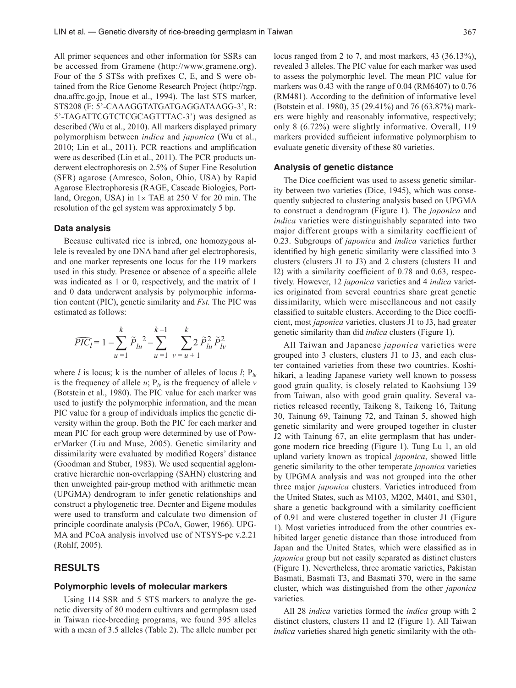All primer sequences and other information for SSRs can be accessed from Gramene (http://www.gramene.org). Four of the 5 STSs with prefixes C, E, and S were obtained from the Rice Genome Research Project (http://rgp. dna.affrc.go.jp, Inoue et al., 1994). The last STS marker, STS208 (F: 5'-CAAAGGTATGATGAGGATAAGG-3', R: 5'-TAGATTCGTCTCGCAGTTTAC-3') was designed as described (Wu et al., 2010). All markers displayed primary polymorphism between *indica* and *japonica* (Wu et al., 2010; Lin et al., 2011). PCR reactions and amplification were as described (Lin et al., 2011). The PCR products underwent electrophoresis on 2.5% of Super Fine Resolution (SFR) agarose (Amresco, Solon, Ohio, USA) by Rapid Agarose Electrophoresis (RAGE, Cascade Biologics, Portland, Oregon, USA) in  $1 \times$  TAE at 250 V for 20 min. The resolution of the gel system was approximately 5 bp.

#### **Data analysis**

Because cultivated rice is inbred, one homozygous allele is revealed by one DNA band after gel electrophoresis, and one marker represents one locus for the 119 markers used in this study. Presence or absence of a specific allele was indicated as 1 or 0, respectively, and the matrix of 1 and 0 data underwent analysis by polymorphic information content (PIC), genetic similarity and *Fst.* The PIC was estimated as follows:

$$
\widehat{PIC}_{l} = 1 - \sum_{u=1}^{k} \tilde{P}_{lu}^{2} - \sum_{u=1}^{k-1} \sum_{v=u+1}^{k} 2 \tilde{P}_{lu}^{2} \tilde{P}_{lv}^{2}
$$

where *l* is locus; k is the number of alleles of locus *l*;  $P_{lu}$ is the frequency of allele  $u$ ;  $P_k$  is the frequency of allele  $v$ (Botstein et al., 1980). The PIC value for each marker was used to justify the polymorphic information, and the mean PIC value for a group of individuals implies the genetic diversity within the group. Both the PIC for each marker and mean PIC for each group were determined by use of PowerMarker (Liu and Muse, 2005). Genetic similarity and dissimilarity were evaluated by modified Rogers' distance (Goodman and Stuber, 1983). We used sequential agglomerative hierarchic non-overlapping (SAHN) clustering and then unweighted pair-group method with arithmetic mean (UPGMA) dendrogram to infer genetic relationships and construct a phylogenetic tree. Decnter and Eigene modules were used to transform and calculate two dimension of principle coordinate analysis (PCoA, Gower, 1966). UPG-MA and PCoA analysis involved use of NTSYS-pc v.2.21 (Rohlf, 2005).

## **RESULTS**

#### **Polymorphic levels of molecular markers**

Using 114 SSR and 5 STS markers to analyze the genetic diversity of 80 modern cultivars and germplasm used in Taiwan rice-breeding programs, we found 395 alleles with a mean of 3.5 alleles (Table 2). The allele number per locus ranged from 2 to 7, and most markers, 43 (36.13%), revealed 3 alleles. The PIC value for each marker was used to assess the polymorphic level. The mean PIC value for markers was 0.43 with the range of 0.04 (RM6407) to 0.76 (RM481). According to the definition of informative level (Botstein et al. 1980), 35 (29.41%) and 76 (63.87%) markers were highly and reasonably informative, respectively; only 8 (6.72%) were slightly informative. Overall, 119 markers provided sufficient informative polymorphism to evaluate genetic diversity of these 80 varieties.

#### **Analysis of genetic distance**

The Dice coefficient was used to assess genetic similarity between two varieties (Dice, 1945), which was consequently subjected to clustering analysis based on UPGMA to construct a dendrogram (Figure 1). The *japonica* and *indica* varieties were distinguishably separated into two major different groups with a similarity coefficient of 0.23. Subgroups of *japonica* and *indica* varieties further identified by high genetic similarity were classified into 3 clusters (clusters J1 to J3) and 2 clusters (clusters I1 and I2) with a similarity coefficient of 0.78 and 0.63, respectively. However, 12 *japonica* varieties and 4 *indica* varieties originated from several countries share great genetic dissimilarity, which were miscellaneous and not easily classified to suitable clusters. According to the Dice coefficient, most *japonica* varieties, clusters J1 to J3, had greater genetic similarity than did *indica* clusters (Figure 1).

All Taiwan and Japanese *japonica* varieties were grouped into 3 clusters, clusters J1 to J3, and each cluster contained varieties from these two countries. Koshihikari, a leading Japanese variety well known to possess good grain quality, is closely related to Kaohsiung 139 from Taiwan, also with good grain quality. Several varieties released recently, Taikeng 8, Taikeng 16, Taitung 30, Tainung 69, Tainung 72, and Tainan 5, showed high genetic similarity and were grouped together in cluster J2 with Tainung 67, an elite germplasm that has undergone modern rice breeding (Figure 1). Tung Lu 1, an old upland variety known as tropical *japonica*, showed little genetic similarity to the other temperate *japonica* varieties by UPGMA analysis and was not grouped into the other three major *japonica* clusters. Varieties introduced from the United States, such as M103, M202, M401, and S301, share a genetic background with a similarity coefficient of 0.91 and were clustered together in cluster J1 (Figure 1). Most varieties introduced from the other countries exhibited larger genetic distance than those introduced from Japan and the United States, which were classified as in *japonica* group but not easily separated as distinct clusters (Figure 1). Nevertheless, three aromatic varieties, Pakistan Basmati, Basmati T3, and Basmati 370, were in the same cluster, which was distinguished from the other *japonica* varieties.

All 28 *indica* varieties formed the *indica* group with 2 distinct clusters, clusters I1 and I2 (Figure 1). All Taiwan *indica* varieties shared high genetic similarity with the oth-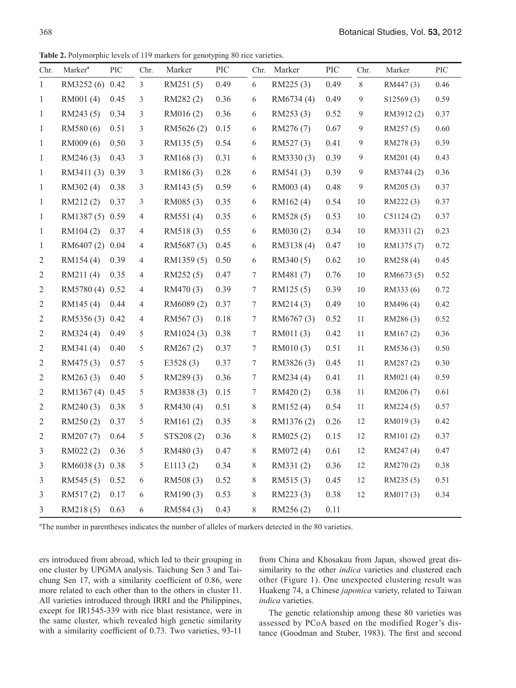**Table 2.** Polymorphic levels of 119 markers for genotyping 80 rice varieties.

| Chr.           | Marker <sup>a</sup> | PIC  | Chr.           | Marker      | PIC  | Chr.       | Marker     | PIC      | Chr.             | Marker     | PIC  |
|----------------|---------------------|------|----------------|-------------|------|------------|------------|----------|------------------|------------|------|
| $\mathbf{1}$   | RM3252 (6) 0.42     |      | $\mathfrak{Z}$ | RM251(5)    | 0.49 | 6          | RM225(3)   | 0.49     | 8                | RM447(3)   | 0.46 |
| $\mathbf{1}$   | RM001(4)            | 0.45 | 3              | RM282(2)    | 0.36 | $\sqrt{6}$ | RM6734 (4) | 0.49     | $\overline{9}$   | \$12569(3) | 0.59 |
| $\mathbf{1}$   | RM243 (5)           | 0.34 | 3              | RM016(2)    | 0.36 | $\sqrt{6}$ | RM253(3)   | 0.52     | $\overline{9}$   | RM3912(2)  | 0.37 |
| $\mathbf{1}$   | RM580(6)            | 0.51 | 3              | RM5626(2)   | 0.15 | 6          | RM276 (7)  | 0.67     | $\boldsymbol{9}$ | RM257(5)   | 0.60 |
| $\mathbf{1}$   | RM009 (6)           | 0.50 | 3              | RM135(5)    | 0.54 | 6          | RM527(3)   | 0.41     | 9                | RM278(3)   | 0.39 |
| $\mathbf{1}$   | RM246(3)            | 0.43 | 3              | RM168(3)    | 0.31 | 6          | RM3330(3)  | 0.39     | 9                | RM201(4)   | 0.43 |
| $\mathbf{1}$   | RM3411 (3) 0.39     |      | 3              | RM186(3)    | 0.28 | 6          | RM541(3)   | 0.39     | $\mathfrak{g}$   | RM3744 (2) | 0.36 |
| $\mathbf{1}$   | RM302(4)            | 0.38 | 3              | RM143 (5)   | 0.59 | 6          | RM003 (4)  | $0.48\,$ | 9                | RM205 (3)  | 0.37 |
| $\mathbf{1}$   | RM212(2)            | 0.37 | 3              | RM085 (3)   | 0.35 | 6          | RM162(4)   | 0.54     | 10               | RM222(3)   | 0.37 |
| $\mathbf{1}$   | RM1387(5) 0.59      |      | $\overline{4}$ | RM551(4)    | 0.35 | 6          | RM528(5)   | 0.53     | 10               | C51124(2)  | 0.37 |
| 1              | RM104(2)            | 0.37 | 4              | RM518(3)    | 0.55 | 6          | RM030(2)   | 0.34     | 10               | RM3311(2)  | 0.23 |
| $\mathbf{1}$   | RM6407 (2) 0.04     |      | 4              | RM5687(3)   | 0.45 | 6          | RM3138 (4) | 0.47     | $10\,$           | RM1375 (7) | 0.72 |
| $\mathfrak{2}$ | RM154(4)            | 0.39 | $\overline{4}$ | RM1359(5)   | 0.50 | 6          | RM340(5)   | 0.62     | 10               | RM258 (4)  | 0.45 |
| $\sqrt{2}$     | RM211(4)            | 0.35 | 4              | RM252 (5)   | 0.47 | $\tau$     | RM481(7)   | 0.76     | 10               | RM6673 (5) | 0.52 |
| $\mathfrak{2}$ | RM5780 (4) 0.52     |      | $\overline{4}$ | RM470(3)    | 0.39 | 7          | RM125(5)   | 0.39     | 10               | RM333 (6)  | 0.72 |
| $\overline{2}$ | RM145(4)            | 0.44 | 4              | RM6089 (2)  | 0.37 | 7          | RM214(3)   | 0.49     | 10               | RM496 (4)  | 0.42 |
| $\mathfrak{2}$ | RM5356 (3) 0.42     |      | $\overline{4}$ | RM567(3)    | 0.18 | $\tau$     | RM6767(3)  | 0.52     | 11               | RM286(3)   | 0.52 |
| $\mathfrak{2}$ | RM324 (4)           | 0.49 | 5              | RM1024 (3)  | 0.38 | 7          | RM011(3)   | 0.42     | 11               | RM167(2)   | 0.36 |
| $\sqrt{2}$     | RM341(4)            | 0.40 | 5              | RM267(2)    | 0.37 | $\tau$     | RM010(3)   | 0.51     | 11               | RM536(3)   | 0.50 |
| $\mathfrak{2}$ | RM475(3)            | 0.57 | 5              | E3528 $(3)$ | 0.37 | $\tau$     | RM3826(3)  | 0.45     | 11               | RM287(2)   | 0.30 |
| $\sqrt{2}$     | RM263(3)            | 0.40 | 5              | RM289(3)    | 0.36 | $\tau$     | RM234 (4)  | 0.41     | 11               | RM021(4)   | 0.59 |
| $\mathfrak{2}$ | RM1367 (4) 0.45     |      | 5              | RM3838(3)   | 0.15 | 7          | RM420(2)   | 0.38     | 11               | RM206 (7)  | 0.61 |
| $\overline{2}$ | RM240(3)            | 0.38 | 5              | RM430 (4)   | 0.51 | 8          | RM152(4)   | 0.54     | 11               | RM224 (5)  | 0.57 |
| $\sqrt{2}$     | RM250(2)            | 0.37 | 5              | RM161(2)    | 0.35 | 8          | RM1376(2)  | 0.26     | 12               | RM019(3)   | 0.42 |
| $\mathfrak{2}$ | RM207 (7)           | 0.64 | 5              | STS208 (2)  | 0.36 | 8          | RM025 (2)  | 0.15     | 12               | RM101(2)   | 0.37 |
| $\mathfrak{Z}$ | RM022(2)            | 0.36 | 5              | RM480(3)    | 0.47 | 8          | RM072 (4)  | 0.61     | 12               | RM247(4)   | 0.47 |
| $\mathfrak{Z}$ | RM6038 (3) 0.38     |      | 5              | E1113(2)    | 0.34 | $8\,$      | RM331(2)   | 0.36     | 12               | RM270(2)   | 0.38 |
| $\mathfrak{Z}$ | RM545 (5)           | 0.52 | 6              | RM508(3)    | 0.52 | 8          | RM515(3)   | 0.45     | 12               | RM235 (5)  | 0.51 |
| 3              | RM517(2)            | 0.17 | 6              | RM190(3)    | 0.53 | 8          | RM223 (3)  | 0.38     | 12               | RM017(3)   | 0.34 |
| 3              | RM218(5)            | 0.63 | 6              | RM584(3)    | 0.43 | 8          | RM256(2)   | 0.11     |                  |            |      |

<sup>a</sup>The number in parentheses indicates the number of alleles of markers detected in the 80 varieties.

ers introduced from abroad, which led to their grouping in one cluster by UPGMA analysis. Taichung Sen 3 and Taichung Sen 17, with a similarity coefficient of 0.86, were more related to each other than to the others in cluster I1. All varieties introduced through IRRI and the Philippines, except for IR1545-339 with rice blast resistance, were in the same cluster, which revealed high genetic similarity with a similarity coefficient of 0.73. Two varieties, 93-11

from China and Khosakau from Japan, showed great dissimilarity to the other *indica* varieties and clustered each other (Figure 1). One unexpected clustering result was Huakeng 74, a Chinese *japonica* variety, related to Taiwan *indica* varieties.

The genetic relationship among these 80 varieties was assessed by PCoA based on the modified Roger's distance (Goodman and Stuber, 1983). The first and second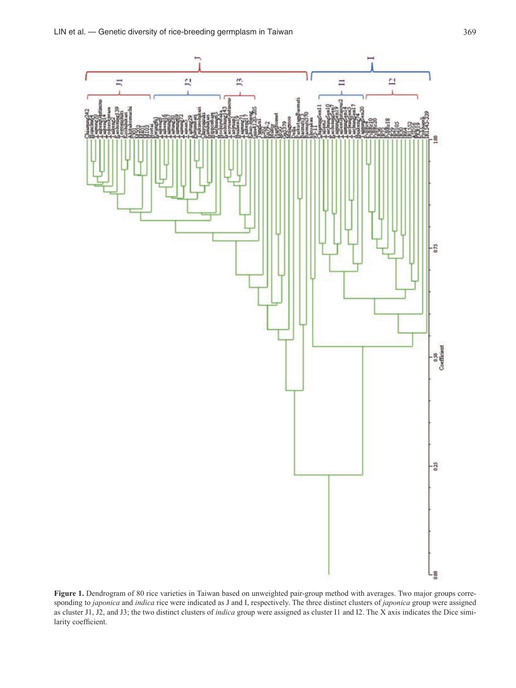

Figure 1. Dendrogram of 80 rice varieties in Taiwan based on unweighted pair-group method with averages. Two major groups corresponding to *japonica* and *indica* rice were indicated as J and I, respectively. The three distinct clusters of *japonica* group were assigned as cluster J1, J2, and J3; the two distinct clusters of *indica* group were assigned as cluster I1 and I2. The X axis indicates the Dice similarity coefficient.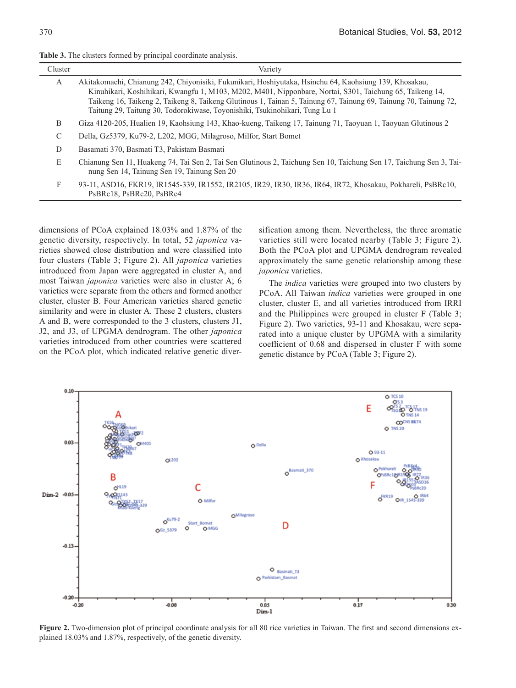| <b>Table 3.</b> The clusters formed by principal coordinate analysis |  |  |  |
|----------------------------------------------------------------------|--|--|--|
|----------------------------------------------------------------------|--|--|--|

| Cluster      | Variety                                                                                                                                                                                                                                                                                                                                                                                                               |
|--------------|-----------------------------------------------------------------------------------------------------------------------------------------------------------------------------------------------------------------------------------------------------------------------------------------------------------------------------------------------------------------------------------------------------------------------|
| $\mathsf{A}$ | Akitakomachi, Chianung 242, Chiyonisiki, Fukunikari, Hoshiyutaka, Hsinchu 64, Kaohsiung 139, Khosakau,<br>Kinuhikari, Koshihikari, Kwangfu 1, M103, M202, M401, Nipponbare, Nortai, S301, Taichung 65, Taikeng 14,<br>Taikeng 16, Taikeng 2, Taikeng 8, Taikeng Glutinous 1, Tainan 5, Tainung 67, Tainung 69, Tainung 70, Tainung 72,<br>Taitung 29, Taitung 30, Todorokiwase, Toyonishiki, Tsukinohikari, Tung Lu 1 |
| B            | Giza 4120-205, Hualien 19, Kaohsiung 143, Khao-kueng, Taikeng 17, Tainung 71, Taoyuan 1, Taoyuan Glutinous 2                                                                                                                                                                                                                                                                                                          |
| C            | Della, Gz5379, Ku79-2, L202, MGG, Milagroso, Milfor, Start Bomet                                                                                                                                                                                                                                                                                                                                                      |
| D            | Basamati 370, Basmati T3, Pakistam Basmati                                                                                                                                                                                                                                                                                                                                                                            |
| E            | Chianung Sen 11, Huakeng 74, Tai Sen 2, Tai Sen Glutinous 2, Taichung Sen 10, Taichung Sen 17, Taichung Sen 3, Tai-<br>nung Sen 14, Tainung Sen 19, Tainung Sen 20                                                                                                                                                                                                                                                    |
| F            | 93-11, ASD16, FKR19, IR1545-339, IR1552, IR2105, IR29, IR30, IR36, IR64, IR72, Khosakau, Pokhareli, PsBRc10,<br>PsBRc18. PsBRc20. PsBRc4                                                                                                                                                                                                                                                                              |

dimensions of PCoA explained 18.03% and 1.87% of the genetic diversity, respectively. In total, 52 *japonica* varieties showed close distribution and were classified into four clusters (Table 3; Figure 2). All *japonica* varieties introduced from Japan were aggregated in cluster A, and most Taiwan *japonica* varieties were also in cluster A; 6 varieties were separate from the others and formed another cluster, cluster B. Four American varieties shared genetic similarity and were in cluster A. These 2 clusters, clusters A and B, were corresponded to the 3 clusters, clusters J1, J2, and J3, of UPGMA dendrogram. The other *japonica* varieties introduced from other countries were scattered on the PCoA plot, which indicated relative genetic diversification among them. Nevertheless, the three aromatic varieties still were located nearby (Table 3; Figure 2). Both the PCoA plot and UPGMA dendrogram revealed approximately the same genetic relationship among these *japonica* varieties.

The *indica* varieties were grouped into two clusters by PCoA. All Taiwan *indica* varieties were grouped in one cluster, cluster E, and all varieties introduced from IRRI and the Philippines were grouped in cluster F (Table 3; Figure 2). Two varieties, 93-11 and Khosakau, were separated into a unique cluster by UPGMA with a similarity coefficient of 0.68 and dispersed in cluster F with some genetic distance by PCoA (Table 3; Figure 2).



**Figure 2.** Two-dimension plot of principal coordinate analysis for all 80 rice varieties in Taiwan. The first and second dimensions explained 18.03% and 1.87%, respectively, of the genetic diversity.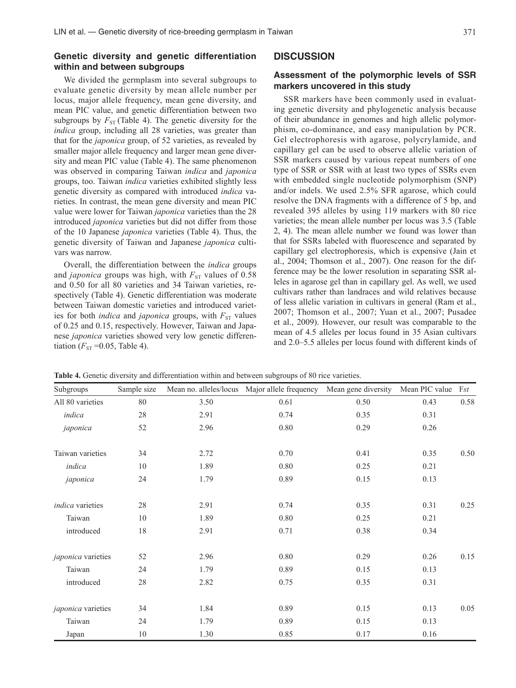## **Genetic diversity and genetic differentiation within and between subgroups**

We divided the germplasm into several subgroups to evaluate genetic diversity by mean allele number per locus, major allele frequency, mean gene diversity, and mean PIC value, and genetic differentiation between two subgroups by  $F_{ST}$  (Table 4). The genetic diversity for the *indica* group, including all 28 varieties, was greater than that for the *japonica* group, of 52 varieties, as revealed by smaller major allele frequency and larger mean gene diversity and mean PIC value (Table 4). The same phenomenon was observed in comparing Taiwan *indica* and *japonica*  groups, too. Taiwan *indica* varieties exhibited slightly less genetic diversity as compared with introduced *indica* varieties. In contrast, the mean gene diversity and mean PIC value were lower for Taiwan *japonica* varieties than the 28 introduced *japonica* varieties but did not differ from those of the 10 Japanese *japonica* varieties (Table 4). Thus, the genetic diversity of Taiwan and Japanese *japonica* cultivars was narrow.

Overall, the differentiation between the *indica* groups and *japonica* groups was high, with  $F_{ST}$  values of 0.58 and 0.50 for all 80 varieties and 34 Taiwan varieties, respectively (Table 4). Genetic differentiation was moderate between Taiwan domestic varieties and introduced varieties for both *indica* and *japonica* groups, with  $F_{ST}$  values of 0.25 and 0.15, respectively. However, Taiwan and Japanese *japonica* varieties showed very low genetic differentiation ( $F_{ST}$  =0.05, Table 4).

## **DISCUSSION**

### **Assessment of the polymorphic levels of SSR markers uncovered in this study**

SSR markers have been commonly used in evaluating genetic diversity and phylogenetic analysis because of their abundance in genomes and high allelic polymorphism, co-dominance, and easy manipulation by PCR. Gel electrophoresis with agarose, polycrylamide, and capillary gel can be used to observe allelic variation of SSR markers caused by various repeat numbers of one type of SSR or SSR with at least two types of SSRs even with embedded single nucleotide polymorphism (SNP) and/or indels. We used 2.5% SFR agarose, which could resolve the DNA fragments with a difference of 5 bp, and revealed 395 alleles by using 119 markers with 80 rice varieties; the mean allele number per locus was 3.5 (Table 2, 4). The mean allele number we found was lower than that for SSRs labeled with fluorescence and separated by capillary gel electrophoresis, which is expensive (Jain et al., 2004; Thomson et al., 2007). One reason for the difference may be the lower resolution in separating SSR alleles in agarose gel than in capillary gel. As well, we used cultivars rather than landraces and wild relatives because of less allelic variation in cultivars in general (Ram et al., 2007; Thomson et al., 2007; Yuan et al., 2007; Pusadee et al., 2009). However, our result was comparable to the mean of 4.5 alleles per locus found in 35 Asian cultivars and 2.0–5.5 alleles per locus found with different kinds of

**Table 4.** Genetic diversity and differentiation within and between subgroups of 80 rice varieties.

| Subgroups          | Sample size |      | Mean no. alleles/locus Major allele frequency Mean gene diversity |      | Mean PIC value | Fst  |
|--------------------|-------------|------|-------------------------------------------------------------------|------|----------------|------|
| All 80 varieties   | 80          | 3.50 | 0.61                                                              | 0.50 | 0.43           | 0.58 |
| indica             | $28\,$      | 2.91 | 0.74                                                              | 0.35 | 0.31           |      |
| japonica           | 52          | 2.96 | $0.80\,$                                                          | 0.29 | 0.26           |      |
| Taiwan varieties   | 34          | 2.72 | 0.70                                                              | 0.41 | 0.35           | 0.50 |
| indica             | 10          | 1.89 | 0.80                                                              | 0.25 | 0.21           |      |
| japonica           | 24          | 1.79 | 0.89                                                              | 0.15 | 0.13           |      |
| indica varieties   | 28          | 2.91 | 0.74                                                              | 0.35 | 0.31           | 0.25 |
| Taiwan             | 10          | 1.89 | 0.80                                                              | 0.25 | 0.21           |      |
| introduced         | 18          | 2.91 | 0.71                                                              | 0.38 | 0.34           |      |
| japonica varieties | 52          | 2.96 | 0.80                                                              | 0.29 | 0.26           | 0.15 |
| Taiwan             | 24          | 1.79 | 0.89                                                              | 0.15 | 0.13           |      |
| introduced         | $28\,$      | 2.82 | 0.75                                                              | 0.35 | 0.31           |      |
| japonica varieties | 34          | 1.84 | 0.89                                                              | 0.15 | 0.13           | 0.05 |
| Taiwan             | 24          | 1.79 | 0.89                                                              | 0.15 | 0.13           |      |
| Japan              | 10          | 1.30 | 0.85                                                              | 0.17 | 0.16           |      |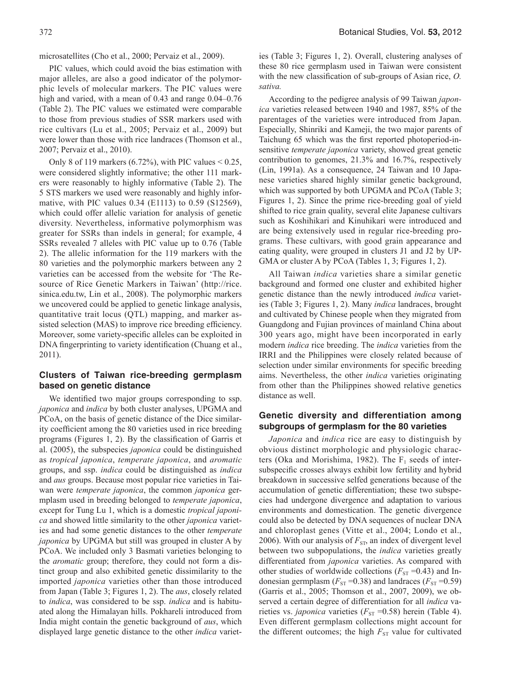microsatellites (Cho et al., 2000; Pervaiz et al., 2009).

PIC values, which could avoid the bias estimation with major alleles, are also a good indicator of the polymorphic levels of molecular markers. The PIC values were high and varied, with a mean of 0.43 and range  $0.04-0.76$ (Table 2). The PIC values we estimated were comparable to those from previous studies of SSR markers used with rice cultivars (Lu et al., 2005; Pervaiz et al., 2009) but were lower than those with rice landraces (Thomson et al., 2007; Pervaiz et al., 2010).

Only 8 of 119 markers  $(6.72\%)$ , with PIC values  $\leq 0.25$ , were considered slightly informative; the other 111 markers were reasonably to highly informative (Table 2). The 5 STS markers we used were reasonably and highly informative, with PIC values 0.34 (E1113) to 0.59 (S12569), which could offer allelic variation for analysis of genetic diversity. Nevertheless, informative polymorphism was greater for SSRs than indels in general; for example, 4 SSRs revealed 7 alleles with PIC value up to 0.76 (Table 2). The allelic information for the 119 markers with the 80 varieties and the polymorphic markers between any 2 varieties can be accessed from the website for 'The Resource of Rice Genetic Markers in Taiwan' (http://rice. sinica.edu.tw, Lin et al., 2008). The polymorphic markers we uncovered could be applied to genetic linkage analysis, quantitative trait locus (QTL) mapping, and marker assisted selection (MAS) to improve rice breeding efficiency. Moreover, some variety-specific alleles can be exploited in DNA fingerprinting to variety identification (Chuang et al., 2011).

## **Clusters of Taiwan rice-breeding germplasm based on genetic distance**

We identified two major groups corresponding to ssp. *japonica* and *indica* by both cluster analyses, UPGMA and PCoA, on the basis of genetic distance of the Dice similarity coefficient among the 80 varieties used in rice breeding programs (Figures 1, 2). By the classification of Garris et al. (2005), the subspecies *japonica* could be distinguished as *tropical japonica*, *temperate japonica*, and *aromatic*  groups, and ssp. *indica* could be distinguished as *indica*  and *aus* groups. Because most popular rice varieties in Taiwan were *temperate japonica*, the common *japonica* germplasm used in breeding belonged to *temperate japonica*, except for Tung Lu 1, which is a domestic *tropical japonica* and showed little similarity to the other *japonica* varieties and had some genetic distances to the other *temperate japonica* by UPGMA but still was grouped in cluster A by PCoA. We included only 3 Basmati varieties belonging to the *aromatic* group; therefore, they could not form a distinct group and also exhibited genetic dissimilarity to the imported *japonica* varieties other than those introduced from Japan (Table 3; Figures 1, 2). The *aus*, closely related to *indica*, was considered to be ssp. *indica* and is habituated along the Himalayan hills. Pokhareli introduced from India might contain the genetic background of *aus*, which displayed large genetic distance to the other *indica* varieties (Table 3; Figures 1, 2). Overall, clustering analyses of these 80 rice germplasm used in Taiwan were consistent with the new classification of sub-groups of Asian rice, *O. sativa.*

According to the pedigree analysis of 99 Taiwan *japonica* varieties released between 1940 and 1987, 85% of the parentages of the varieties were introduced from Japan. Especially, Shinriki and Kameji, the two major parents of Taichung 65 which was the first reported photoperiod-insensitive *temperate japonica* variety, showed great genetic contribution to genomes, 21.3% and 16.7%, respectively (Lin, 1991a). As a consequence, 24 Taiwan and 10 Japanese varieties shared highly similar genetic background, which was supported by both UPGMA and PCoA (Table 3; Figures 1, 2). Since the prime rice-breeding goal of yield shifted to rice grain quality, several elite Japanese cultivars such as Koshihikari and Kinuhikari were introduced and are being extensively used in regular rice-breeding programs. These cultivars, with good grain appearance and eating quality, were grouped in clusters J1 and J2 by UP-GMA or cluster A by PCoA (Tables 1, 3; Figures 1, 2).

All Taiwan *indica* varieties share a similar genetic background and formed one cluster and exhibited higher genetic distance than the newly introduced *indica* varieties (Table 3; Figures 1, 2). Many *indica* landraces, brought and cultivated by Chinese people when they migrated from Guangdong and Fujian provinces of mainland China about 300 years ago, might have been incorporated in early modern *indica* rice breeding. The *indica* varieties from the IRRI and the Philippines were closely related because of selection under similar environments for specific breeding aims. Nevertheless, the other *indica* varieties originating from other than the Philippines showed relative genetics distance as well.

## **Genetic diversity and differentiation among subgroups of germplasm for the 80 varieties**

*Japonica* and *indica* rice are easy to distinguish by obvious distinct morphologic and physiologic characters (Oka and Morishima, 1982). The  $F_1$  seeds of intersubspecific crosses always exhibit low fertility and hybrid breakdown in successive selfed generations because of the accumulation of genetic differentiation; these two subspecies had undergone divergence and adaptation to various environments and domestication. The genetic divergence could also be detected by DNA sequences of nuclear DNA and chloroplast genes (Vitte et al., 2004; Londo et al., 2006). With our analysis of  $F_{ST}$ , an index of divergent level between two subpopulations, the *indica* varieties greatly differentiated from *japonica* varieties. As compared with other studies of worldwide collections ( $F_{ST}$  =0.43) and Indonesian germplasm  $(F_{ST} = 0.38)$  and landraces  $(F_{ST} = 0.59)$ (Garris et al., 2005; Thomson et al., 2007, 2009), we observed a certain degree of differentiation for all *indica* varieties vs. *japonica* varieties ( $F_{ST}$  =0.58) herein (Table 4). Even different germplasm collections might account for the different outcomes; the high  $F_{ST}$  value for cultivated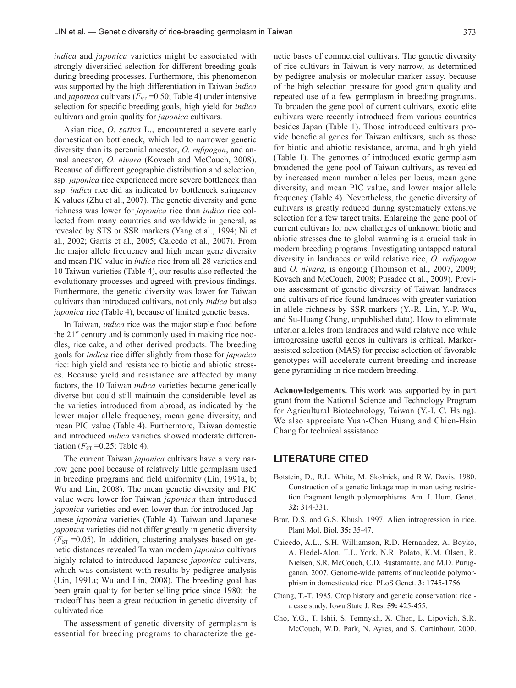*indica* and *japonica* varieties might be associated with strongly diversified selection for different breeding goals during breeding processes. Furthermore, this phenomenon was supported by the high differentiation in Taiwan *indica*  and *japonica* cultivars ( $F_{ST}$  =0.50; Table 4) under intensive selection for specific breeding goals, high yield for *indica* cultivars and grain quality for *japonica* cultivars.

Asian rice, *O. sativa* L., encountered a severe early domestication bottleneck, which led to narrower genetic diversity than its perennial ancestor, *O. rufipogon*, and annual ancestor, *O. nivara* (Kovach and McCouch, 2008). Because of different geographic distribution and selection, ssp. *japonica* rice experienced more severe bottleneck than ssp. *indica* rice did as indicated by bottleneck stringency K values (Zhu et al., 2007). The genetic diversity and gene richness was lower for *japonica* rice than *indica* rice collected from many countries and worldwide in general, as revealed by STS or SSR markers (Yang et al., 1994; Ni et al., 2002; Garris et al., 2005; Caicedo et al., 2007). From the major allele frequency and high mean gene diversity and mean PIC value in *indica* rice from all 28 varieties and 10 Taiwan varieties (Table 4), our results also reflected the evolutionary processes and agreed with previous findings. Furthermore, the genetic diversity was lower for Taiwan cultivars than introduced cultivars, not only *indica* but also *japonica* rice (Table 4), because of limited genetic bases.

In Taiwan, *indica* rice was the major staple food before the  $21<sup>st</sup>$  century and is commonly used in making rice noodles, rice cake, and other derived products. The breeding goals for *indica* rice differ slightly from those for *japonica* rice: high yield and resistance to biotic and abiotic stresses. Because yield and resistance are affected by many factors, the 10 Taiwan *indica* varieties became genetically diverse but could still maintain the considerable level as the varieties introduced from abroad, as indicated by the lower major allele frequency, mean gene diversity, and mean PIC value (Table 4). Furthermore, Taiwan domestic and introduced *indica* varieties showed moderate differentiation ( $F_{ST}$  =0.25; Table 4).

The current Taiwan *japonica* cultivars have a very narrow gene pool because of relatively little germplasm used in breeding programs and field uniformity (Lin, 1991a, b; Wu and Lin, 2008). The mean genetic diversity and PIC value were lower for Taiwan *japonica* than introduced *japonica* varieties and even lower than for introduced Japanese *japonica* varieties (Table 4). Taiwan and Japanese *japonica* varieties did not differ greatly in genetic diversity  $(F_{ST} = 0.05)$ . In addition, clustering analyses based on genetic distances revealed Taiwan modern *japonica* cultivars highly related to introduced Japanese *japonica* cultivars, which was consistent with results by pedigree analysis (Lin, 1991a; Wu and Lin, 2008). The breeding goal has been grain quality for better selling price since 1980; the tradeoff has been a great reduction in genetic diversity of cultivated rice.

The assessment of genetic diversity of germplasm is essential for breeding programs to characterize the genetic bases of commercial cultivars. The genetic diversity of rice cultivars in Taiwan is very narrow, as determined by pedigree analysis or molecular marker assay, because of the high selection pressure for good grain quality and repeated use of a few germplasm in breeding programs. To broaden the gene pool of current cultivars, exotic elite cultivars were recently introduced from various countries besides Japan (Table 1). Those introduced cultivars provide beneficial genes for Taiwan cultivars, such as those for biotic and abiotic resistance, aroma, and high yield (Table 1). The genomes of introduced exotic germplasm broadened the gene pool of Taiwan cultivars, as revealed by increased mean number alleles per locus, mean gene diversity, and mean PIC value, and lower major allele frequency (Table 4). Nevertheless, the genetic diversity of cultivars is greatly reduced during systematicly extensive selection for a few target traits. Enlarging the gene pool of current cultivars for new challenges of unknown biotic and abiotic stresses due to global warming is a crucial task in modern breeding programs. Investigating untapped natural diversity in landraces or wild relative rice, *O. rufipogon*  and *O. nivara*, is ongoing (Thomson et al., 2007, 2009; Kovach and McCouch, 2008; Pusadee et al., 2009). Previous assessment of genetic diversity of Taiwan landraces and cultivars of rice found landraces with greater variation in allele richness by SSR markers (Y.-R. Lin, Y.-P. Wu, and Su-Huang Chang, unpublished data). How to eliminate inferior alleles from landraces and wild relative rice while introgressing useful genes in cultivars is critical. Markerassisted selection (MAS) for precise selection of favorable genotypes will accelerate current breeding and increase gene pyramiding in rice modern breeding.

**Acknowledgements.** This work was supported by in part grant from the National Science and Technology Program for Agricultural Biotechnology, Taiwan (Y.-I. C. Hsing). We also appreciate Yuan-Chen Huang and Chien-Hsin Chang for technical assistance.

## **LITERATURE CITED**

- Botstein, D., R.L. White, M. Skolnick, and R.W. Davis. 1980. Construction of a genetic linkage map in man using restriction fragment length polymorphisms. Am. J. Hum. Genet. **32:** 314-331.
- Brar, D.S. and G.S. Khush. 1997. Alien introgression in rice. Plant Mol. Biol. **35:** 35-47.
- Caicedo, A.L., S.H. Williamson, R.D. Hernandez, A. Boyko, A. Fledel-Alon, T.L. York, N.R. Polato, K.M. Olsen, R. Nielsen, S.R. McCouch, C.D. Bustamante, and M.D. Purugganan. 2007. Genome-wide patterns of nucleotide polymorphism in domesticated rice. PLoS Genet. **3:** 1745-1756.
- Chang, T.-T. 1985. Crop history and genetic conservation: rice a case study. Iowa State J. Res. **59:** 425-455.
- Cho, Y.G., T. Ishii, S. Temnykh, X. Chen, L. Lipovich, S.R. McCouch, W.D. Park, N. Ayres, and S. Cartinhour. 2000.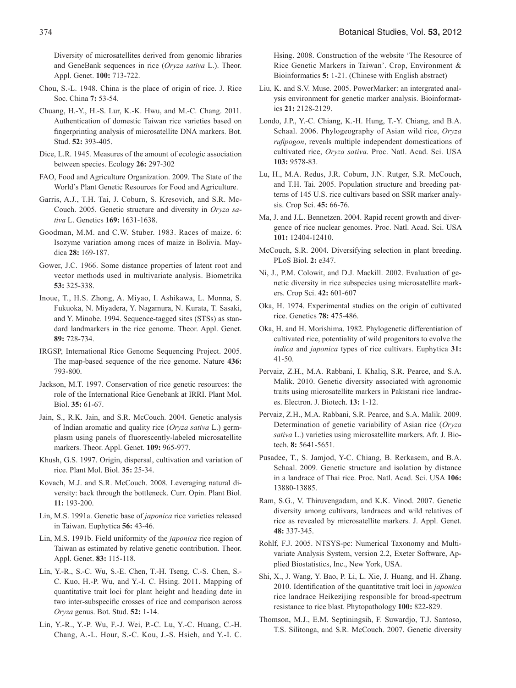Diversity of microsatellites derived from genomic libraries and GeneBank sequences in rice (*Oryza sativa* L.). Theor. Appl. Genet. **100:** 713-722.

- Chou, S.-L. 1948. China is the place of origin of rice. J. Rice Soc. China **7:** 53-54.
- Chuang, H.-Y., H.-S. Lur, K.-K. Hwu, and M.-C. Chang. 2011. Authentication of domestic Taiwan rice varieties based on fingerprinting analysis of microsatellite DNA markers. Bot. Stud. **52:** 393-405.
- Dice, L.R. 1945. Measures of the amount of ecologic association between species. Ecology **26:** 297-302
- FAO, Food and Agriculture Organization. 2009. The State of the World's Plant Genetic Resources for Food and Agriculture.
- Garris, A.J., T.H. Tai, J. Coburn, S. Kresovich, and S.R. Mc-Couch. 2005. Genetic structure and diversity in *Oryza sativa* L. Genetics **169:** 1631-1638.
- Goodman, M.M. and C.W. Stuber. 1983. Races of maize. 6: Isozyme variation among races of maize in Bolivia. Maydica **28:** 169-187.
- Gower, J.C. 1966. Some distance properties of latent root and vector methods used in multivariate analysis. Biometrika **53:** 325-338.
- Inoue, T., H.S. Zhong, A. Miyao, I. Ashikawa, L. Monna, S. Fukuoka, N. Miyadera, Y. Nagamura, N. Kurata, T. Sasaki, and Y. Minobe. 1994. Sequence-tagged sites (STSs) as standard landmarkers in the rice genome. Theor. Appl. Genet. **89:** 728-734.
- IRGSP, International Rice Genome Sequencing Project. 2005. The map-based sequence of the rice genome. Nature **436:** 793-800.
- Jackson, M.T. 1997. Conservation of rice genetic resources: the role of the International Rice Genebank at IRRI. Plant Mol. Biol. **35:** 61-67.
- Jain, S., R.K. Jain, and S.R. McCouch. 2004. Genetic analysis of Indian aromatic and quality rice (*Oryza sativa* L.) germplasm using panels of fluorescently-labeled microsatellite markers. Theor. Appl. Genet. **109:** 965-977.
- Khush, G.S. 1997. Origin, dispersal, cultivation and variation of rice. Plant Mol. Biol. **35:** 25-34.
- Kovach, M.J. and S.R. McCouch. 2008. Leveraging natural diversity: back through the bottleneck. Curr. Opin. Plant Biol. **11:** 193-200.
- Lin, M.S. 1991a. Genetic base of *japonica* rice varieties released in Taiwan. Euphytica **56:** 43-46.
- Lin, M.S. 1991b. Field uniformity of the *japonica* rice region of Taiwan as estimated by relative genetic contribution. Theor. Appl. Genet. **83:** 115-118.
- Lin, Y.-R., S.-C. Wu, S.-E. Chen, T.-H. Tseng, C.-S. Chen, S.- C. Kuo, H.-P. Wu, and Y.-I. C. Hsing. 2011. Mapping of quantitative trait loci for plant height and heading date in two inter-subspecific crosses of rice and comparison across *Oryza* genus. Bot. Stud. **52:** 1-14.
- Lin, Y.-R., Y.-P. Wu, F.-J. Wei, P.-C. Lu, Y.-C. Huang, C.-H. Chang, A.-L. Hour, S.-C. Kou, J.-S. Hsieh, and Y.-I. C.

Hsing. 2008. Construction of the website 'The Resource of Rice Genetic Markers in Taiwan'. Crop, Environment & Bioinformatics **5:** 1-21. (Chinese with English abstract)

- Liu, K. and S.V. Muse. 2005. PowerMarker: an intergrated analysis environment for genetic marker analysis. Bioinformatics **21:** 2128-2129.
- Londo, J.P., Y.-C. Chiang, K.-H. Hung, T.-Y. Chiang, and B.A. Schaal. 2006. Phylogeography of Asian wild rice, *Oryza rufipogon*, reveals multiple independent domestications of cultivated rice, *Oryza sativa*. Proc. Natl. Acad. Sci. USA **103:** 9578-83.
- Lu, H., M.A. Redus, J.R. Coburn, J.N. Rutger, S.R. McCouch, and T.H. Tai. 2005. Population structure and breeding patterns of 145 U.S. rice cultivars based on SSR marker analysis. Crop Sci. **45:** 66-76.
- Ma, J. and J.L. Bennetzen. 2004. Rapid recent growth and divergence of rice nuclear genomes. Proc. Natl. Acad. Sci. USA **101:** 12404-12410.
- McCouch, S.R. 2004. Diversifying selection in plant breeding. PLoS Biol. **2:** e347.
- Ni, J., P.M. Colowit, and D.J. Mackill. 2002. Evaluation of genetic diversity in rice subspecies using microsatellite markers. Crop Sci. **42:** 601-607
- Oka, H. 1974. Experimental studies on the origin of cultivated rice. Genetics **78:** 475-486.
- Oka, H. and H. Morishima. 1982. Phylogenetic differentiation of cultivated rice, potentiality of wild progenitors to evolve the *indica* and *japonica* types of rice cultivars. Euphytica **31:** 41-50.
- Pervaiz, Z.H., M.A. Rabbani, I. Khaliq, S.R. Pearce, and S.A. Malik. 2010. Genetic diversity associated with agronomic traits using microsatellite markers in Pakistani rice landraces. Electron. J. Biotech. **13:** 1-12.
- Pervaiz, Z.H., M.A. Rabbani, S.R. Pearce, and S.A. Malik. 2009. Determination of genetic variability of Asian rice (*Oryza sativa* L.) varieties using microsatellite markers. Afr. J. Biotech. **8:** 5641-5651.
- Pusadee, T., S. Jamjod, Y-C. Chiang, B. Rerkasem, and B.A. Schaal. 2009. Genetic structure and isolation by distance in a landrace of Thai rice. Proc. Natl. Acad. Sci. USA **106:** 13880-13885.
- Ram, S.G., V. Thiruvengadam, and K.K. Vinod. 2007. Genetic diversity among cultivars, landraces and wild relatives of rice as revealed by microsatellite markers. J. Appl. Genet. **48:** 337-345.
- Rohlf, F.J. 2005. NTSYS-pc: Numerical Taxonomy and Multivariate Analysis System, version 2.2, Exeter Software, Applied Biostatistics, Inc., New York, USA.
- Shi, X., J. Wang, Y. Bao, P. Li, L. Xie, J. Huang, and H. Zhang. 2010. Identification of the quantitative trait loci in *japonica* rice landrace Heikezijing responsible for broad-spectrum resistance to rice blast. Phytopathology **100:** 822-829.
- Thomson, M.J., E.M. Septiningsih, F. Suwardjo, T.J. Santoso, T.S. Silitonga, and S.R. McCouch. 2007. Genetic diversity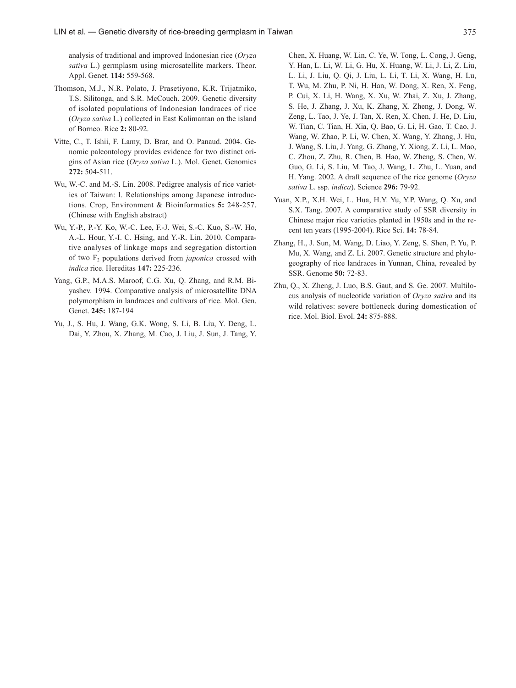analysis of traditional and improved Indonesian rice (*Oryza sativa* L.) germplasm using microsatellite markers. Theor. Appl. Genet. **114:** 559-568.

- Thomson, M.J., N.R. Polato, J. Prasetiyono, K.R. Trijatmiko, T.S. Silitonga, and S.R. McCouch. 2009. Genetic diversity of isolated populations of Indonesian landraces of rice (*Oryza sativa* L.) collected in East Kalimantan on the island of Borneo. Rice **2:** 80-92.
- Vitte, C., T. Ishii, F. Lamy, D. Brar, and O. Panaud. 2004. Genomic paleontology provides evidence for two distinct origins of Asian rice (*Oryza sativa* L.). Mol. Genet. Genomics **272:** 504-511.
- Wu, W.-C. and M.-S. Lin. 2008. Pedigree analysis of rice varieties of Taiwan: I. Relationships among Japanese introductions. Crop, Environment & Bioinformatics **5:** 248-257. (Chinese with English abstract)
- Wu, Y.-P., P.-Y. Ko, W.-C. Lee, F.-J. Wei, S.-C. Kuo, S.-W. Ho, A.-L. Hour, Y.-I. C. Hsing, and Y.-R. Lin. 2010. Comparative analyses of linkage maps and segregation distortion of two F2 populations derived from *japonica* crossed with *indica* rice. Hereditas **147:** 225-236.
- Yang, G.P., M.A.S. Maroof, C.G. Xu, Q. Zhang, and R.M. Biyashev. 1994. Comparative analysis of microsatellite DNA polymorphism in landraces and cultivars of rice. Mol. Gen. Genet. **245:** 187-194
- Yu, J., S. Hu, J. Wang, G.K. Wong, S. Li, B. Liu, Y. Deng, L. Dai, Y. Zhou, X. Zhang, M. Cao, J. Liu, J. Sun, J. Tang, Y.

Chen, X. Huang, W. Lin, C. Ye, W. Tong, L. Cong, J. Geng, Y. Han, L. Li, W. Li, G. Hu, X. Huang, W. Li, J. Li, Z. Liu, L. Li, J. Liu, Q. Qi, J. Liu, L. Li, T. Li, X. Wang, H. Lu, T. Wu, M. Zhu, P. Ni, H. Han, W. Dong, X. Ren, X. Feng, P. Cui, X. Li, H. Wang, X. Xu, W. Zhai, Z. Xu, J. Zhang, S. He, J. Zhang, J. Xu, K. Zhang, X. Zheng, J. Dong, W. Zeng, L. Tao, J. Ye, J. Tan, X. Ren, X. Chen, J. He, D. Liu, W. Tian, C. Tian, H. Xia, Q. Bao, G. Li, H. Gao, T. Cao, J. Wang, W. Zhao, P. Li, W. Chen, X. Wang, Y. Zhang, J. Hu, J. Wang, S. Liu, J. Yang, G. Zhang, Y. Xiong, Z. Li, L. Mao, C. Zhou, Z. Zhu, R. Chen, B. Hao, W. Zheng, S. Chen, W. Guo, G. Li, S. Liu, M. Tao, J. Wang, L. Zhu, L. Yuan, and H. Yang. 2002. A draft sequence of the rice genome (*Oryza sativa* L. ssp. *indica*). Science **296:** 79-92.

- Yuan, X.P., X.H. Wei, L. Hua, H.Y. Yu, Y.P. Wang, Q. Xu, and S.X. Tang. 2007. A comparative study of SSR diversity in Chinese major rice varieties planted in 1950s and in the recent ten years (1995-2004). Rice Sci. **14:** 78-84.
- Zhang, H., J. Sun, M. Wang, D. Liao, Y. Zeng, S. Shen, P. Yu, P. Mu, X. Wang, and Z. Li. 2007. Genetic structure and phylogeography of rice landraces in Yunnan, China, revealed by SSR. Genome **50:** 72-83.
- Zhu, Q., X. Zheng, J. Luo, B.S. Gaut, and S. Ge. 2007. Multilocus analysis of nucleotide variation of *Oryza sativa* and its wild relatives: severe bottleneck during domestication of rice. Mol. Biol. Evol. **24:** 875-888.